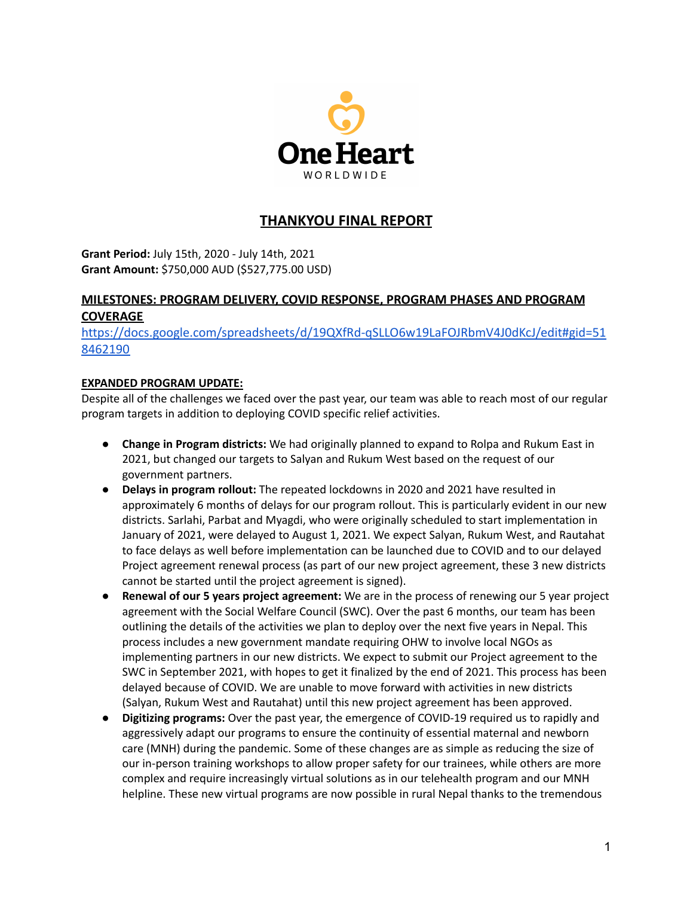

# **THANKYOU FINAL REPORT**

**Grant Period:** July 15th, 2020 - July 14th, 2021 **Grant Amount:** \$750,000 AUD (\$527,775.00 USD)

## **MILESTONES: PROGRAM DELIVERY, COVID RESPONSE, PROGRAM PHASES AND PROGRAM COVERAGE**

[https://docs.google.com/spreadsheets/d/19QXfRd-qSLLO6w19LaFOJRbmV4J0dKcJ/edit#gid=51](https://docs.google.com/spreadsheets/d/19QXfRd-qSLLO6w19LaFOJRbmV4J0dKcJ/edit#gid=518462190) [8462190](https://docs.google.com/spreadsheets/d/19QXfRd-qSLLO6w19LaFOJRbmV4J0dKcJ/edit#gid=518462190)

## **EXPANDED PROGRAM UPDATE:**

Despite all of the challenges we faced over the past year, our team was able to reach most of our regular program targets in addition to deploying COVID specific relief activities.

- **Change in Program districts:** We had originally planned to expand to Rolpa and Rukum East in 2021, but changed our targets to Salyan and Rukum West based on the request of our government partners.
- **Delays in program rollout:** The repeated lockdowns in 2020 and 2021 have resulted in approximately 6 months of delays for our program rollout. This is particularly evident in our new districts. Sarlahi, Parbat and Myagdi, who were originally scheduled to start implementation in January of 2021, were delayed to August 1, 2021. We expect Salyan, Rukum West, and Rautahat to face delays as well before implementation can be launched due to COVID and to our delayed Project agreement renewal process (as part of our new project agreement, these 3 new districts cannot be started until the project agreement is signed).
- **Renewal of our 5 years project agreement:** We are in the process of renewing our 5 year project agreement with the Social Welfare Council (SWC). Over the past 6 months, our team has been outlining the details of the activities we plan to deploy over the next five years in Nepal. This process includes a new government mandate requiring OHW to involve local NGOs as implementing partners in our new districts. We expect to submit our Project agreement to the SWC in September 2021, with hopes to get it finalized by the end of 2021. This process has been delayed because of COVID. We are unable to move forward with activities in new districts (Salyan, Rukum West and Rautahat) until this new project agreement has been approved.
- **Digitizing programs:** Over the past year, the emergence of COVID-19 required us to rapidly and aggressively adapt our programs to ensure the continuity of essential maternal and newborn care (MNH) during the pandemic. Some of these changes are as simple as reducing the size of our in-person training workshops to allow proper safety for our trainees, while others are more complex and require increasingly virtual solutions as in our telehealth program and our MNH helpline. These new virtual programs are now possible in rural Nepal thanks to the tremendous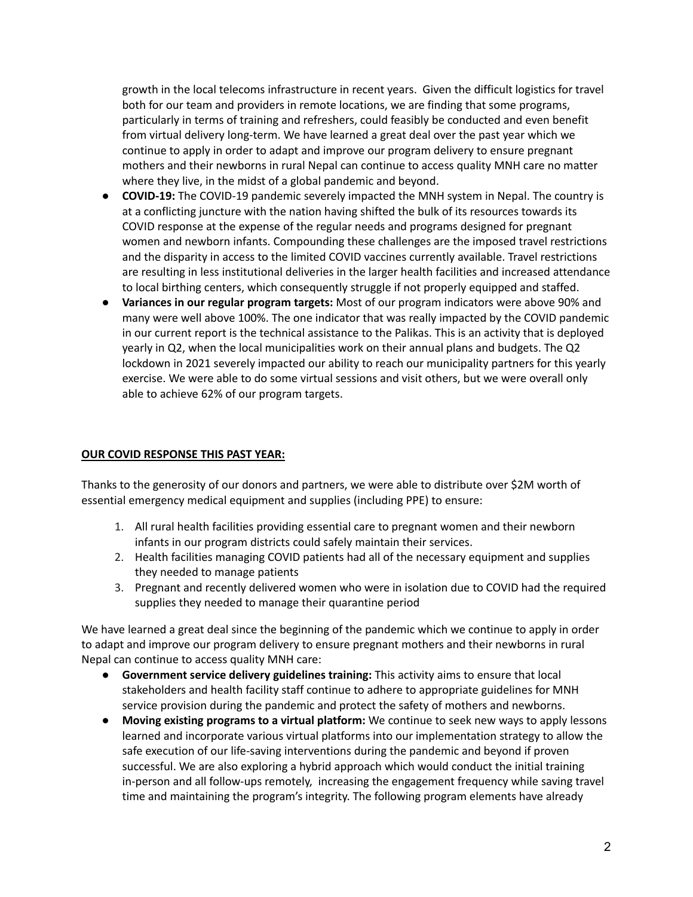growth in the local telecoms infrastructure in recent years. Given the difficult logistics for travel both for our team and providers in remote locations, we are finding that some programs, particularly in terms of training and refreshers, could feasibly be conducted and even benefit from virtual delivery long-term. We have learned a great deal over the past year which we continue to apply in order to adapt and improve our program delivery to ensure pregnant mothers and their newborns in rural Nepal can continue to access quality MNH care no matter where they live, in the midst of a global pandemic and beyond.

- **COVID-19:** The COVID-19 pandemic severely impacted the MNH system in Nepal. The country is at a conflicting juncture with the nation having shifted the bulk of its resources towards its COVID response at the expense of the regular needs and programs designed for pregnant women and newborn infants. Compounding these challenges are the imposed travel restrictions and the disparity in access to the limited COVID vaccines currently available. Travel restrictions are resulting in less institutional deliveries in the larger health facilities and increased attendance to local birthing centers, which consequently struggle if not properly equipped and staffed.
- **Variances in our regular program targets:** Most of our program indicators were above 90% and many were well above 100%. The one indicator that was really impacted by the COVID pandemic in our current report is the technical assistance to the Palikas. This is an activity that is deployed yearly in Q2, when the local municipalities work on their annual plans and budgets. The Q2 lockdown in 2021 severely impacted our ability to reach our municipality partners for this yearly exercise. We were able to do some virtual sessions and visit others, but we were overall only able to achieve 62% of our program targets.

#### **OUR COVID RESPONSE THIS PAST YEAR:**

Thanks to the generosity of our donors and partners, we were able to distribute over \$2M worth of essential emergency medical equipment and supplies (including PPE) to ensure:

- 1. All rural health facilities providing essential care to pregnant women and their newborn infants in our program districts could safely maintain their services.
- 2. Health facilities managing COVID patients had all of the necessary equipment and supplies they needed to manage patients
- 3. Pregnant and recently delivered women who were in isolation due to COVID had the required supplies they needed to manage their quarantine period

We have learned a great deal since the beginning of the pandemic which we continue to apply in order to adapt and improve our program delivery to ensure pregnant mothers and their newborns in rural Nepal can continue to access quality MNH care:

- **Government service delivery guidelines training:** This activity aims to ensure that local stakeholders and health facility staff continue to adhere to appropriate guidelines for MNH service provision during the pandemic and protect the safety of mothers and newborns.
- **Moving existing programs to a virtual platform:** We continue to seek new ways to apply lessons learned and incorporate various virtual platforms into our implementation strategy to allow the safe execution of our life-saving interventions during the pandemic and beyond if proven successful. We are also exploring a hybrid approach which would conduct the initial training in-person and all follow-ups remotely, increasing the engagement frequency while saving travel time and maintaining the program's integrity. The following program elements have already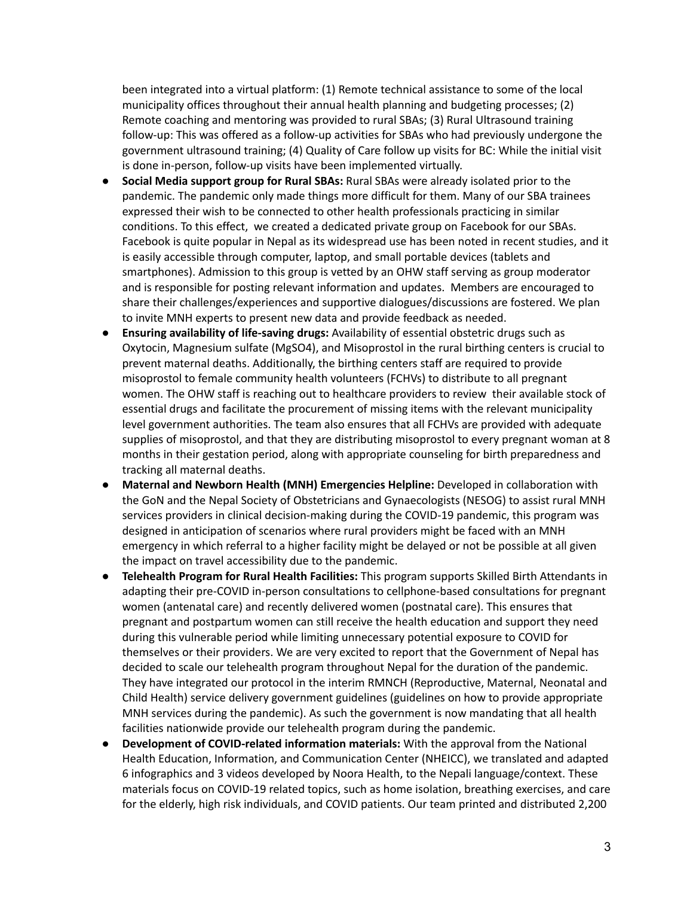been integrated into a virtual platform: (1) Remote technical assistance to some of the local municipality offices throughout their annual health planning and budgeting processes; (2) Remote coaching and mentoring was provided to rural SBAs; (3) Rural Ultrasound training follow-up: This was offered as a follow-up activities for SBAs who had previously undergone the government ultrasound training; (4) Quality of Care follow up visits for BC: While the initial visit is done in-person, follow-up visits have been implemented virtually.

- **Social Media support group for Rural SBAs:** Rural SBAs were already isolated prior to the pandemic. The pandemic only made things more difficult for them. Many of our SBA trainees expressed their wish to be connected to other health professionals practicing in similar conditions. To this effect, we created a dedicated private group on Facebook for our SBAs. Facebook is quite popular in Nepal as its widespread use has been noted in recent studies, and it is easily accessible through computer, laptop, and small portable devices (tablets and smartphones). Admission to this group is vetted by an OHW staff serving as group moderator and is responsible for posting relevant information and updates. Members are encouraged to share their challenges/experiences and supportive dialogues/discussions are fostered. We plan to invite MNH experts to present new data and provide feedback as needed.
- **Ensuring availability of life-saving drugs:** Availability of essential obstetric drugs such as Oxytocin, Magnesium sulfate (MgSO4), and Misoprostol in the rural birthing centers is crucial to prevent maternal deaths. Additionally, the birthing centers staff are required to provide misoprostol to female community health volunteers (FCHVs) to distribute to all pregnant women. The OHW staff is reaching out to healthcare providers to review their available stock of essential drugs and facilitate the procurement of missing items with the relevant municipality level government authorities. The team also ensures that all FCHVs are provided with adequate supplies of misoprostol, and that they are distributing misoprostol to every pregnant woman at 8 months in their gestation period, along with appropriate counseling for birth preparedness and tracking all maternal deaths.
- **Maternal and Newborn Health (MNH) Emergencies Helpline:** Developed in collaboration with the GoN and the Nepal Society of Obstetricians and Gynaecologists (NESOG) to assist rural MNH services providers in clinical decision-making during the COVID-19 pandemic, this program was designed in anticipation of scenarios where rural providers might be faced with an MNH emergency in which referral to a higher facility might be delayed or not be possible at all given the impact on travel accessibility due to the pandemic.
- **Telehealth Program for Rural Health Facilities:** This program supports Skilled Birth Attendants in adapting their pre-COVID in-person consultations to cellphone-based consultations for pregnant women (antenatal care) and recently delivered women (postnatal care). This ensures that pregnant and postpartum women can still receive the health education and support they need during this vulnerable period while limiting unnecessary potential exposure to COVID for themselves or their providers. We are very excited to report that the Government of Nepal has decided to scale our telehealth program throughout Nepal for the duration of the pandemic. They have integrated our protocol in the interim RMNCH (Reproductive, Maternal, Neonatal and Child Health) service delivery government guidelines (guidelines on how to provide appropriate MNH services during the pandemic). As such the government is now mandating that all health facilities nationwide provide our telehealth program during the pandemic.
- **Development of COVID-related information materials:** With the approval from the National Health Education, Information, and Communication Center (NHEICC), we translated and adapted 6 infographics and 3 videos developed by Noora Health, to the Nepali language/context. These materials focus on COVID-19 related topics, such as home isolation, breathing exercises, and care for the elderly, high risk individuals, and COVID patients. Our team printed and distributed 2,200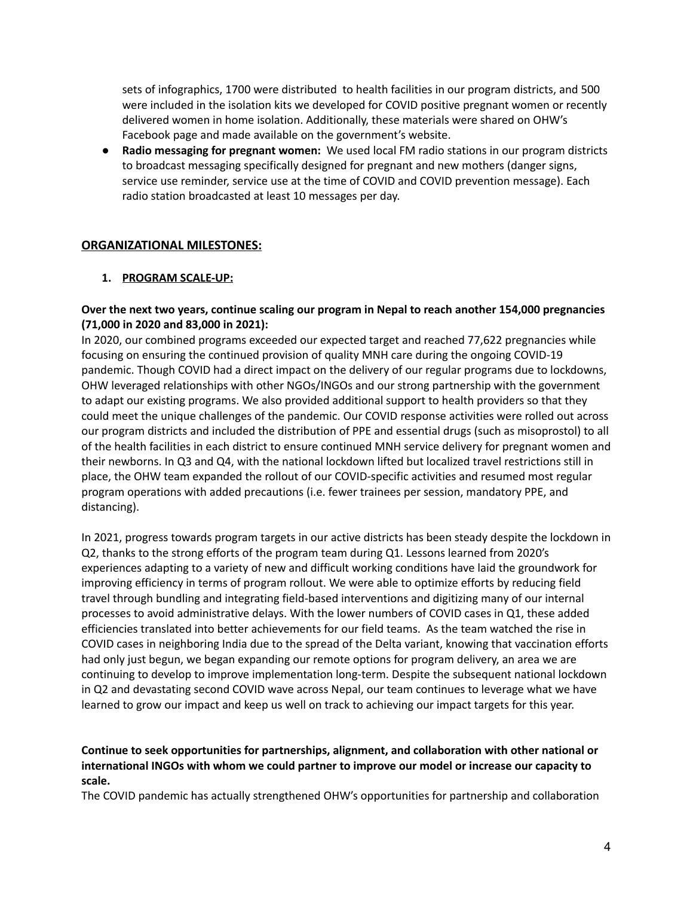sets of infographics, 1700 were distributed to health facilities in our program districts, and 500 were included in the isolation kits we developed for COVID positive pregnant women or recently delivered women in home isolation. Additionally, these materials were shared on OHW's Facebook page and made available on the government's website.

● **Radio messaging for pregnant women:** We used local FM radio stations in our program districts to broadcast messaging specifically designed for pregnant and new mothers (danger signs, service use reminder, service use at the time of COVID and COVID prevention message). Each radio station broadcasted at least 10 messages per day.

## **ORGANIZATIONAL MILESTONES:**

#### **1. PROGRAM SCALE-UP:**

#### **Over the next two years, continue scaling our program in Nepal to reach another 154,000 pregnancies (71,000 in 2020 and 83,000 in 2021):**

In 2020, our combined programs exceeded our expected target and reached 77,622 pregnancies while focusing on ensuring the continued provision of quality MNH care during the ongoing COVID-19 pandemic. Though COVID had a direct impact on the delivery of our regular programs due to lockdowns, OHW leveraged relationships with other NGOs/INGOs and our strong partnership with the government to adapt our existing programs. We also provided additional support to health providers so that they could meet the unique challenges of the pandemic. Our COVID response activities were rolled out across our program districts and included the distribution of PPE and essential drugs (such as misoprostol) to all of the health facilities in each district to ensure continued MNH service delivery for pregnant women and their newborns. In Q3 and Q4, with the national lockdown lifted but localized travel restrictions still in place, the OHW team expanded the rollout of our COVID-specific activities and resumed most regular program operations with added precautions (i.e. fewer trainees per session, mandatory PPE, and distancing).

In 2021, progress towards program targets in our active districts has been steady despite the lockdown in Q2, thanks to the strong efforts of the program team during Q1. Lessons learned from 2020's experiences adapting to a variety of new and difficult working conditions have laid the groundwork for improving efficiency in terms of program rollout. We were able to optimize efforts by reducing field travel through bundling and integrating field-based interventions and digitizing many of our internal processes to avoid administrative delays. With the lower numbers of COVID cases in Q1, these added efficiencies translated into better achievements for our field teams. As the team watched the rise in COVID cases in neighboring India due to the spread of the Delta variant, knowing that vaccination efforts had only just begun, we began expanding our remote options for program delivery, an area we are continuing to develop to improve implementation long-term. Despite the subsequent national lockdown in Q2 and devastating second COVID wave across Nepal, our team continues to leverage what we have learned to grow our impact and keep us well on track to achieving our impact targets for this year.

## **Continue to seek opportunities for partnerships, alignment, and collaboration with other national or international INGOs with whom we could partner to improve our model or increase our capacity to scale.**

The COVID pandemic has actually strengthened OHW's opportunities for partnership and collaboration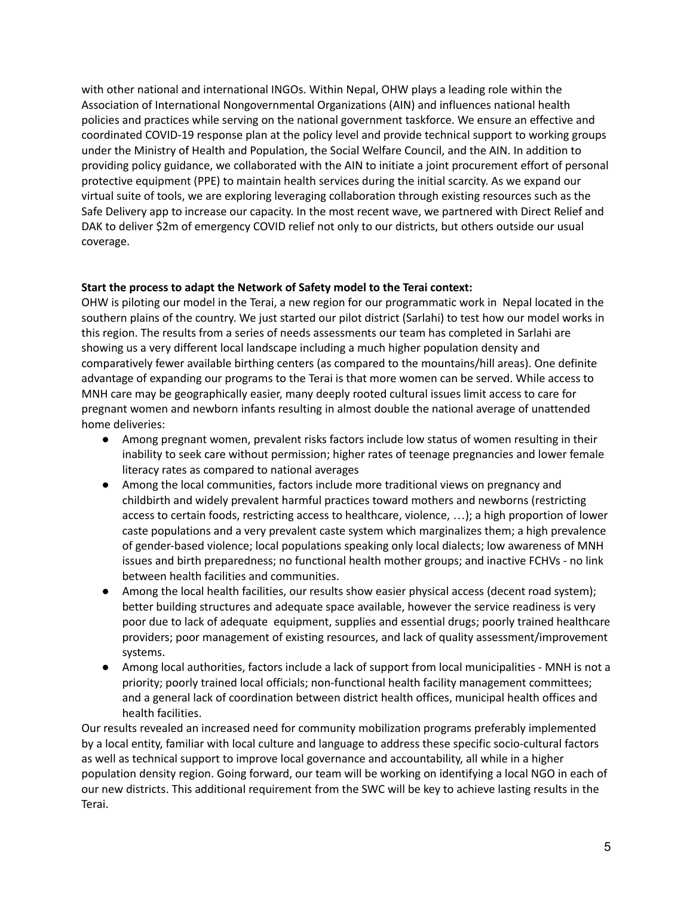with other national and international INGOs. Within Nepal, OHW plays a leading role within the Association of International Nongovernmental Organizations (AIN) and influences national health policies and practices while serving on the national government taskforce. We ensure an effective and coordinated COVID-19 response plan at the policy level and provide technical support to working groups under the Ministry of Health and Population, the Social Welfare Council, and the AIN. In addition to providing policy guidance, we collaborated with the AIN to initiate a joint procurement effort of personal protective equipment (PPE) to maintain health services during the initial scarcity. As we expand our virtual suite of tools, we are exploring leveraging collaboration through existing resources such as the Safe Delivery app to increase our capacity. In the most recent wave, we partnered with Direct Relief and DAK to deliver \$2m of emergency COVID relief not only to our districts, but others outside our usual coverage.

## **Start the process to adapt the Network of Safety model to the Terai context:**

OHW is piloting our model in the Terai, a new region for our programmatic work in Nepal located in the southern plains of the country. We just started our pilot district (Sarlahi) to test how our model works in this region. The results from a series of needs assessments our team has completed in Sarlahi are showing us a very different local landscape including a much higher population density and comparatively fewer available birthing centers (as compared to the mountains/hill areas). One definite advantage of expanding our programs to the Terai is that more women can be served. While access to MNH care may be geographically easier, many deeply rooted cultural issues limit access to care for pregnant women and newborn infants resulting in almost double the national average of unattended home deliveries:

- Among pregnant women, prevalent risks factors include low status of women resulting in their inability to seek care without permission; higher rates of teenage pregnancies and lower female literacy rates as compared to national averages
- Among the local communities, factors include more traditional views on pregnancy and childbirth and widely prevalent harmful practices toward mothers and newborns (restricting access to certain foods, restricting access to healthcare, violence, …); a high proportion of lower caste populations and a very prevalent caste system which marginalizes them; a high prevalence of gender-based violence; local populations speaking only local dialects; low awareness of MNH issues and birth preparedness; no functional health mother groups; and inactive FCHVs - no link between health facilities and communities.
- Among the local health facilities, our results show easier physical access (decent road system); better building structures and adequate space available, however the service readiness is very poor due to lack of adequate equipment, supplies and essential drugs; poorly trained healthcare providers; poor management of existing resources, and lack of quality assessment/improvement systems.
- Among local authorities, factors include a lack of support from local municipalities MNH is not a priority; poorly trained local officials; non-functional health facility management committees; and a general lack of coordination between district health offices, municipal health offices and health facilities.

Our results revealed an increased need for community mobilization programs preferably implemented by a local entity, familiar with local culture and language to address these specific socio-cultural factors as well as technical support to improve local governance and accountability, all while in a higher population density region. Going forward, our team will be working on identifying a local NGO in each of our new districts. This additional requirement from the SWC will be key to achieve lasting results in the Terai.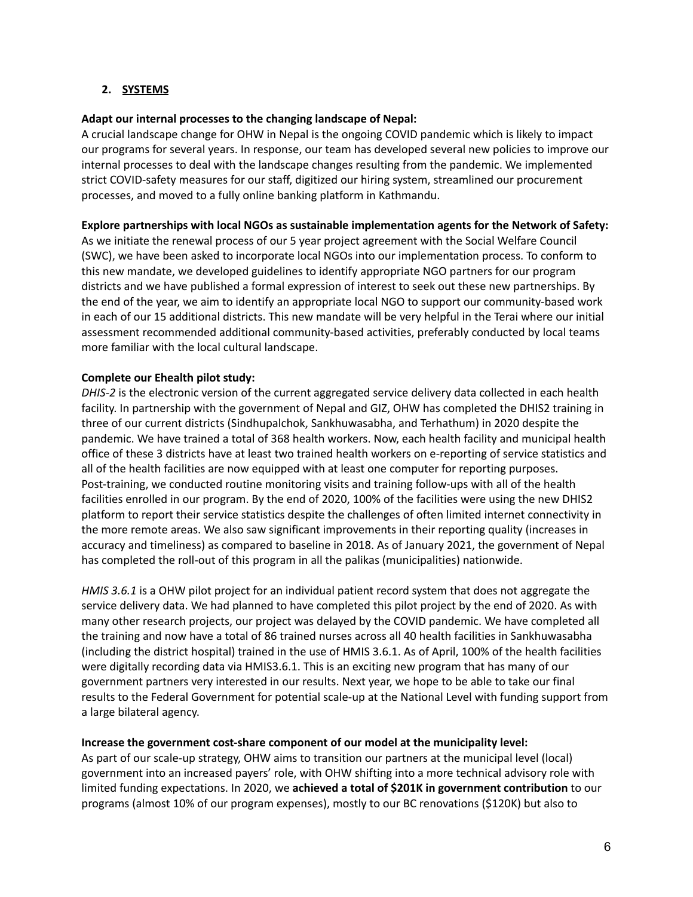## **2. SYSTEMS**

#### **Adapt our internal processes to the changing landscape of Nepal:**

A crucial landscape change for OHW in Nepal is the ongoing COVID pandemic which is likely to impact our programs for several years. In response, our team has developed several new policies to improve our internal processes to deal with the landscape changes resulting from the pandemic. We implemented strict COVID-safety measures for our staff, digitized our hiring system, streamlined our procurement processes, and moved to a fully online banking platform in Kathmandu.

#### **Explore partnerships with local NGOs as sustainable implementation agents for the Network of Safety:**

As we initiate the renewal process of our 5 year project agreement with the Social Welfare Council (SWC), we have been asked to incorporate local NGOs into our implementation process. To conform to this new mandate, we developed guidelines to identify appropriate NGO partners for our program districts and we have published a formal expression of interest to seek out these new partnerships. By the end of the year, we aim to identify an appropriate local NGO to support our community-based work in each of our 15 additional districts. This new mandate will be very helpful in the Terai where our initial assessment recommended additional community-based activities, preferably conducted by local teams more familiar with the local cultural landscape.

#### **Complete our Ehealth pilot study:**

*DHIS-2* is the electronic version of the current aggregated service delivery data collected in each health facility. In partnership with the government of Nepal and GIZ, OHW has completed the DHIS2 training in three of our current districts (Sindhupalchok, Sankhuwasabha, and Terhathum) in 2020 despite the pandemic. We have trained a total of 368 health workers. Now, each health facility and municipal health office of these 3 districts have at least two trained health workers on e-reporting of service statistics and all of the health facilities are now equipped with at least one computer for reporting purposes. Post-training, we conducted routine monitoring visits and training follow-ups with all of the health facilities enrolled in our program. By the end of 2020, 100% of the facilities were using the new DHIS2 platform to report their service statistics despite the challenges of often limited internet connectivity in the more remote areas. We also saw significant improvements in their reporting quality (increases in accuracy and timeliness) as compared to baseline in 2018. As of January 2021, the government of Nepal has completed the roll-out of this program in all the palikas (municipalities) nationwide.

*HMIS 3.6.1* is a OHW pilot project for an individual patient record system that does not aggregate the service delivery data. We had planned to have completed this pilot project by the end of 2020. As with many other research projects, our project was delayed by the COVID pandemic. We have completed all the training and now have a total of 86 trained nurses across all 40 health facilities in Sankhuwasabha (including the district hospital) trained in the use of HMIS 3.6.1. As of April, 100% of the health facilities were digitally recording data via HMIS3.6.1. This is an exciting new program that has many of our government partners very interested in our results. Next year, we hope to be able to take our final results to the Federal Government for potential scale-up at the National Level with funding support from a large bilateral agency.

#### **Increase the government cost-share component of our model at the municipality level:**

As part of our scale-up strategy, OHW aims to transition our partners at the municipal level (local) government into an increased payers' role, with OHW shifting into a more technical advisory role with limited funding expectations. In 2020, we **achieved a total of \$201K in government contribution** to our programs (almost 10% of our program expenses), mostly to our BC renovations (\$120K) but also to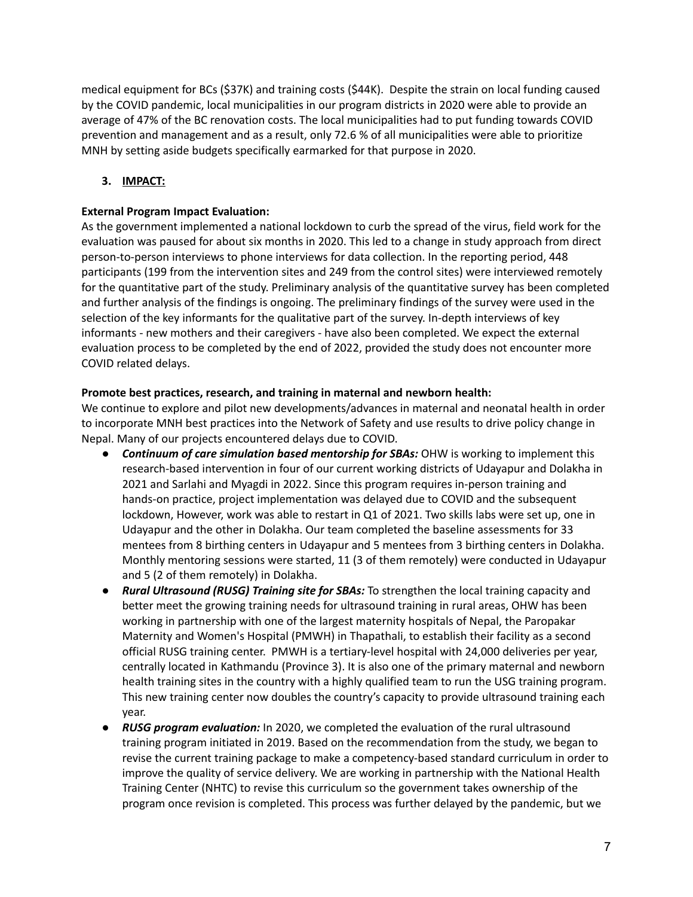medical equipment for BCs (\$37K) and training costs (\$44K). Despite the strain on local funding caused by the COVID pandemic, local municipalities in our program districts in 2020 were able to provide an average of 47% of the BC renovation costs. The local municipalities had to put funding towards COVID prevention and management and as a result, only 72.6 % of all municipalities were able to prioritize MNH by setting aside budgets specifically earmarked for that purpose in 2020.

## **3. IMPACT:**

## **External Program Impact Evaluation:**

As the government implemented a national lockdown to curb the spread of the virus, field work for the evaluation was paused for about six months in 2020. This led to a change in study approach from direct person-to-person interviews to phone interviews for data collection. In the reporting period, 448 participants (199 from the intervention sites and 249 from the control sites) were interviewed remotely for the quantitative part of the study. Preliminary analysis of the quantitative survey has been completed and further analysis of the findings is ongoing. The preliminary findings of the survey were used in the selection of the key informants for the qualitative part of the survey. In-depth interviews of key informants - new mothers and their caregivers - have also been completed. We expect the external evaluation process to be completed by the end of 2022, provided the study does not encounter more COVID related delays.

## **Promote best practices, research, and training in maternal and newborn health:**

We continue to explore and pilot new developments/advances in maternal and neonatal health in order to incorporate MNH best practices into the Network of Safety and use results to drive policy change in Nepal. Many of our projects encountered delays due to COVID.

- *● Continuum of care simulation based mentorship for SBAs:* OHW is working to implement this research-based intervention in four of our current working districts of Udayapur and Dolakha in 2021 and Sarlahi and Myagdi in 2022. Since this program requires in-person training and hands-on practice, project implementation was delayed due to COVID and the subsequent lockdown, However, work was able to restart in Q1 of 2021. Two skills labs were set up, one in Udayapur and the other in Dolakha. Our team completed the baseline assessments for 33 mentees from 8 birthing centers in Udayapur and 5 mentees from 3 birthing centers in Dolakha. Monthly mentoring sessions were started, 11 (3 of them remotely) were conducted in Udayapur and 5 (2 of them remotely) in Dolakha.
- *● Rural Ultrasound (RUSG) Training site for SBAs:* To strengthen the local training capacity and better meet the growing training needs for ultrasound training in rural areas, OHW has been working in partnership with one of the largest maternity hospitals of Nepal, the Paropakar Maternity and Women's Hospital (PMWH) in Thapathali, to establish their facility as a second official RUSG training center. PMWH is a tertiary-level hospital with 24,000 deliveries per year, centrally located in Kathmandu (Province 3). It is also one of the primary maternal and newborn health training sites in the country with a highly qualified team to run the USG training program. This new training center now doubles the country's capacity to provide ultrasound training each year.
- *● RUSG program evaluation:* In 2020, we completed the evaluation of the rural ultrasound training program initiated in 2019. Based on the recommendation from the study, we began to revise the current training package to make a competency-based standard curriculum in order to improve the quality of service delivery. We are working in partnership with the National Health Training Center (NHTC) to revise this curriculum so the government takes ownership of the program once revision is completed. This process was further delayed by the pandemic, but we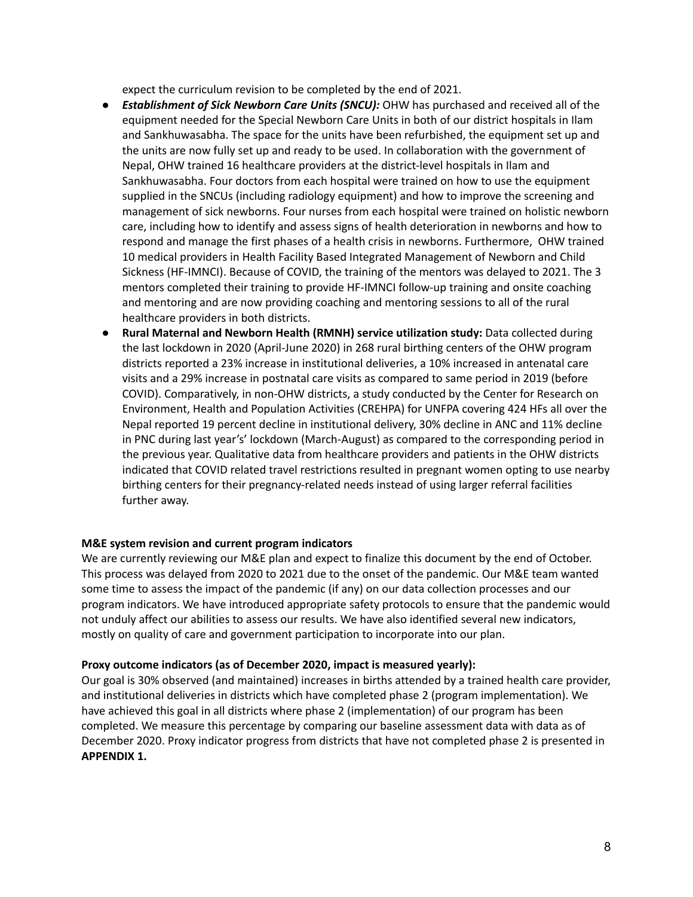expect the curriculum revision to be completed by the end of 2021.

- *● Establishment of Sick Newborn Care Units (SNCU):* OHW has purchased and received all of the equipment needed for the Special Newborn Care Units in both of our district hospitals in Ilam and Sankhuwasabha. The space for the units have been refurbished, the equipment set up and the units are now fully set up and ready to be used. In collaboration with the government of Nepal, OHW trained 16 healthcare providers at the district-level hospitals in Ilam and Sankhuwasabha. Four doctors from each hospital were trained on how to use the equipment supplied in the SNCUs (including radiology equipment) and how to improve the screening and management of sick newborns. Four nurses from each hospital were trained on holistic newborn care, including how to identify and assess signs of health deterioration in newborns and how to respond and manage the first phases of a health crisis in newborns. Furthermore, OHW trained 10 medical providers in Health Facility Based Integrated Management of Newborn and Child Sickness (HF-IMNCI). Because of COVID, the training of the mentors was delayed to 2021. The 3 mentors completed their training to provide HF-IMNCI follow-up training and onsite coaching and mentoring and are now providing coaching and mentoring sessions to all of the rural healthcare providers in both districts.
- **Rural Maternal and Newborn Health (RMNH) service utilization study:** Data collected during the last lockdown in 2020 (April-June 2020) in 268 rural birthing centers of the OHW program districts reported a 23% increase in institutional deliveries, a 10% increased in antenatal care visits and a 29% increase in postnatal care visits as compared to same period in 2019 (before COVID). Comparatively, in non-OHW districts, a study conducted by the Center for Research on Environment, Health and Population Activities (CREHPA) for UNFPA covering 424 HFs all over the Nepal reported 19 percent decline in institutional delivery, 30% decline in ANC and 11% decline in PNC during last year's' lockdown (March-August) as compared to the corresponding period in the previous year. Qualitative data from healthcare providers and patients in the OHW districts indicated that COVID related travel restrictions resulted in pregnant women opting to use nearby birthing centers for their pregnancy-related needs instead of using larger referral facilities further away.

#### **M&E system revision and current program indicators**

We are currently reviewing our M&E plan and expect to finalize this document by the end of October. This process was delayed from 2020 to 2021 due to the onset of the pandemic. Our M&E team wanted some time to assess the impact of the pandemic (if any) on our data collection processes and our program indicators. We have introduced appropriate safety protocols to ensure that the pandemic would not unduly affect our abilities to assess our results. We have also identified several new indicators, mostly on quality of care and government participation to incorporate into our plan.

#### **Proxy outcome indicators (as of December 2020, impact is measured yearly):**

Our goal is 30% observed (and maintained) increases in births attended by a trained health care provider, and institutional deliveries in districts which have completed phase 2 (program implementation). We have achieved this goal in all districts where phase 2 (implementation) of our program has been completed. We measure this percentage by comparing our baseline assessment data with data as of December 2020. Proxy indicator progress from districts that have not completed phase 2 is presented in **APPENDIX 1.**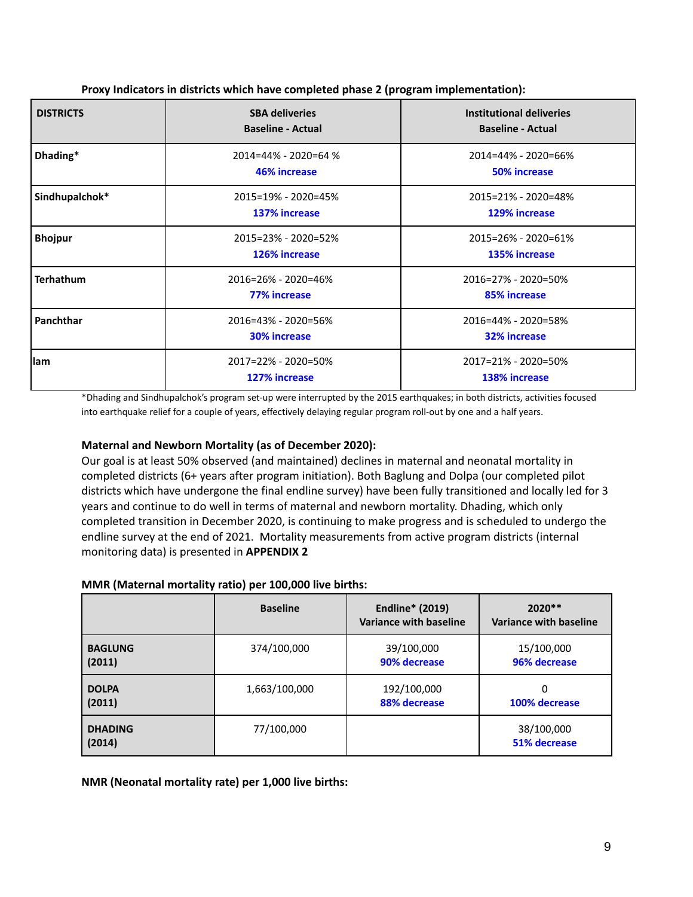| <b>DISTRICTS</b> | <b>SBA deliveries</b><br><b>Baseline - Actual</b>  | Institutional deliveries<br><b>Baseline - Actual</b> |
|------------------|----------------------------------------------------|------------------------------------------------------|
| Dhading*         | $2014 = 44\% - 2020 = 64\%$<br><b>46% increase</b> | 2014=44% - 2020=66%<br><b>50% increase</b>           |
| Sindhupalchok*   | 2015=19% - 2020=45%<br>137% increase               | 2015=21% - 2020=48%<br>129% increase                 |
| <b>Bhojpur</b>   | 2015=23% - 2020=52%<br>126% increase               | 2015=26% - 2020=61%<br>135% increase                 |
| <b>Terhathum</b> | 2016=26% - 2020=46%<br><b>77% increase</b>         | 2016=27% - 2020=50%<br>85% increase                  |
| Panchthar        | 2016=43% - 2020=56%<br><b>30% increase</b>         | 2016=44% - 2020=58%<br>32% increase                  |
| llam             | 2017=22% - 2020=50%<br>127% increase               | 2017=21% - 2020=50%<br>138% increase                 |

**Proxy Indicators in districts which have completed phase 2 (program implementation):**

\*Dhading and Sindhupalchok's program set-up were interrupted by the 2015 earthquakes; in both districts, activities focused into earthquake relief for a couple of years, effectively delaying regular program roll-out by one and a half years.

## **Maternal and Newborn Mortality (as of December 2020):**

Our goal is at least 50% observed (and maintained) declines in maternal and neonatal mortality in completed districts (6+ years after program initiation). Both Baglung and Dolpa (our completed pilot districts which have undergone the final endline survey) have been fully transitioned and locally led for 3 years and continue to do well in terms of maternal and newborn mortality. Dhading, which only completed transition in December 2020, is continuing to make progress and is scheduled to undergo the endline survey at the end of 2021. Mortality measurements from active program districts (internal monitoring data) is presented in **APPENDIX 2**

#### **MMR (Maternal mortality ratio) per 100,000 live births:**

|                          | <b>Baseline</b> | <b>Endline* (2019)</b><br><b>Variance with baseline</b> | $2020**$<br><b>Variance with baseline</b> |
|--------------------------|-----------------|---------------------------------------------------------|-------------------------------------------|
| <b>BAGLUNG</b>           | 374/100,000     | 39/100,000                                              | 15/100,000                                |
| (2011)                   |                 | 90% decrease                                            | 96% decrease                              |
| <b>DOLPA</b>             | 1,663/100,000   | 192/100,000                                             | 0                                         |
| (2011)                   |                 | 88% decrease                                            | 100% decrease                             |
| <b>DHADING</b><br>(2014) | 77/100,000      |                                                         | 38/100,000<br>51% decrease                |

**NMR (Neonatal mortality rate) per 1,000 live births:**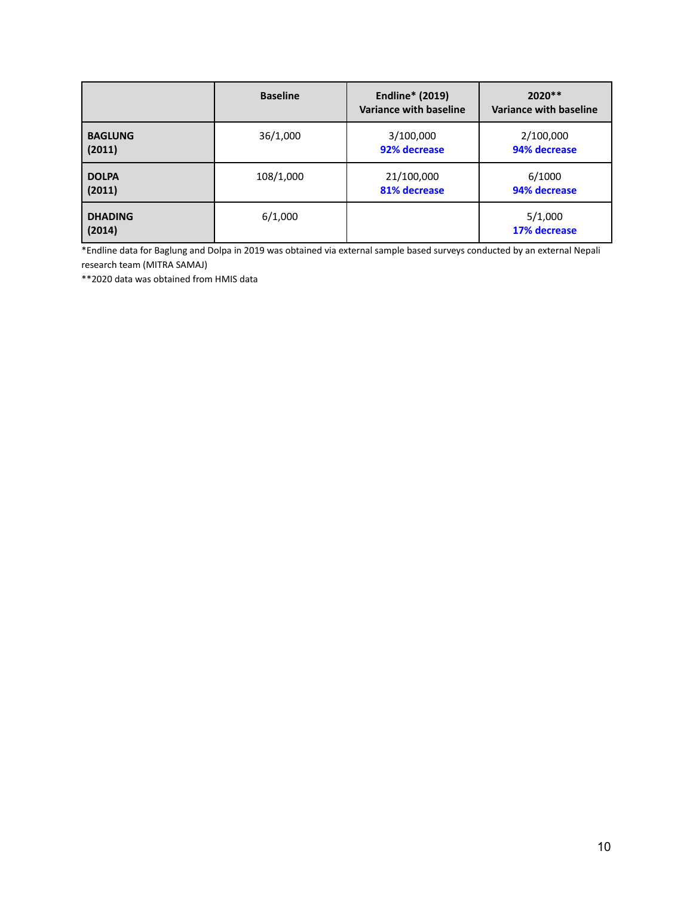|                          | <b>Baseline</b> | <b>Endline* (2019)</b><br>Variance with baseline | 2020 **<br>Variance with baseline |
|--------------------------|-----------------|--------------------------------------------------|-----------------------------------|
| <b>BAGLUNG</b>           | 36/1,000        | 3/100,000                                        | 2/100,000                         |
| (2011)                   |                 | 92% decrease                                     | 94% decrease                      |
| <b>DOLPA</b>             | 108/1,000       | 21/100,000                                       | 6/1000                            |
| (2011)                   |                 | 81% decrease                                     | 94% decrease                      |
| <b>DHADING</b><br>(2014) | 6/1,000         |                                                  | 5/1,000<br>17% decrease           |

\*Endline data for Baglung and Dolpa in 2019 was obtained via external sample based surveys conducted by an external Nepali research team (MITRA SAMAJ)

\*\*2020 data was obtained from HMIS data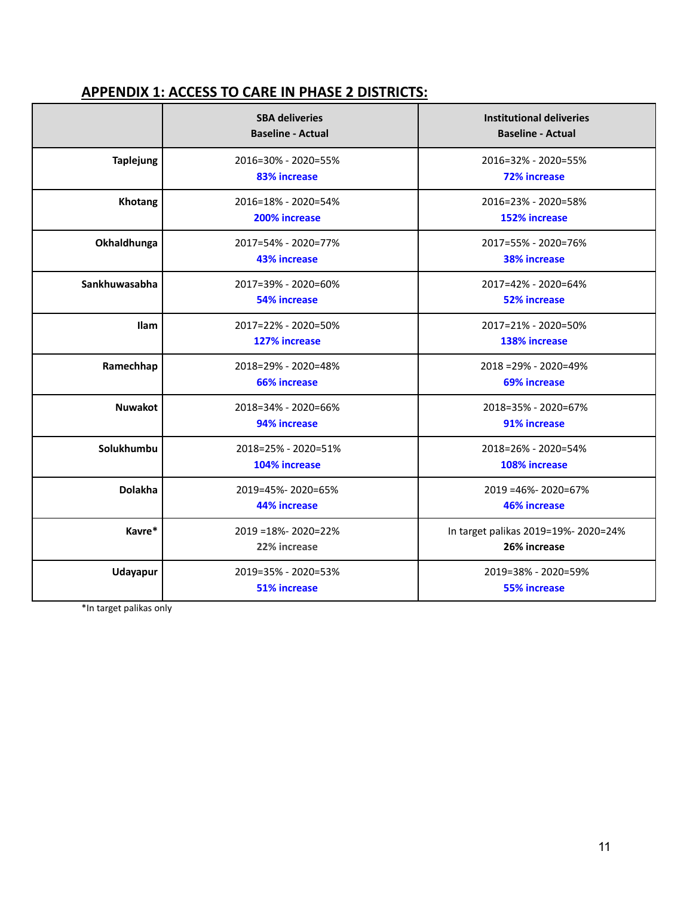# **APPENDIX 1: ACCESS TO CARE IN PHASE 2 DISTRICTS:**

|                  | <b>SBA deliveries</b><br><b>Baseline - Actual</b> | Institutional deliveries<br><b>Baseline - Actual</b> |
|------------------|---------------------------------------------------|------------------------------------------------------|
| <b>Taplejung</b> | 2016=30% - 2020=55%<br>83% increase               | 2016=32% - 2020=55%<br><b>72% increase</b>           |
| Khotang          | 2016=18% - 2020=54%<br>200% increase              | 2016=23% - 2020=58%<br>152% increase                 |
| Okhaldhunga      | 2017=54% - 2020=77%<br><b>43% increase</b>        | 2017=55% - 2020=76%<br>38% increase                  |
| Sankhuwasabha    | 2017=39% - 2020=60%<br><b>54% increase</b>        | 2017=42% - 2020=64%<br><b>52% increase</b>           |
| Ilam             | 2017=22% - 2020=50%<br>127% increase              | 2017=21% - 2020=50%<br>138% increase                 |
| Ramechhap        | 2018=29% - 2020=48%<br><b>66% increase</b>        | $2018 = 29\% - 2020 = 49\%$<br><b>69% increase</b>   |
| <b>Nuwakot</b>   | 2018=34% - 2020=66%<br>94% increase               | 2018=35% - 2020=67%<br>91% increase                  |
| Solukhumbu       | 2018=25% - 2020=51%<br>104% increase              | 2018=26% - 2020=54%<br>108% increase                 |
| <b>Dolakha</b>   | 2019=45%-2020=65%<br>44% increase                 | 2019 = 46% - 2020 = 67%<br><b>46% increase</b>       |
| Kavre*           | 2019 = 18% - 2020 = 22%<br>22% increase           | In target palikas 2019=19%- 2020=24%<br>26% increase |
| <b>Udayapur</b>  | 2019=35% - 2020=53%<br><b>51% increase</b>        | 2019=38% - 2020=59%<br><b>55% increase</b>           |

\*In target palikas only